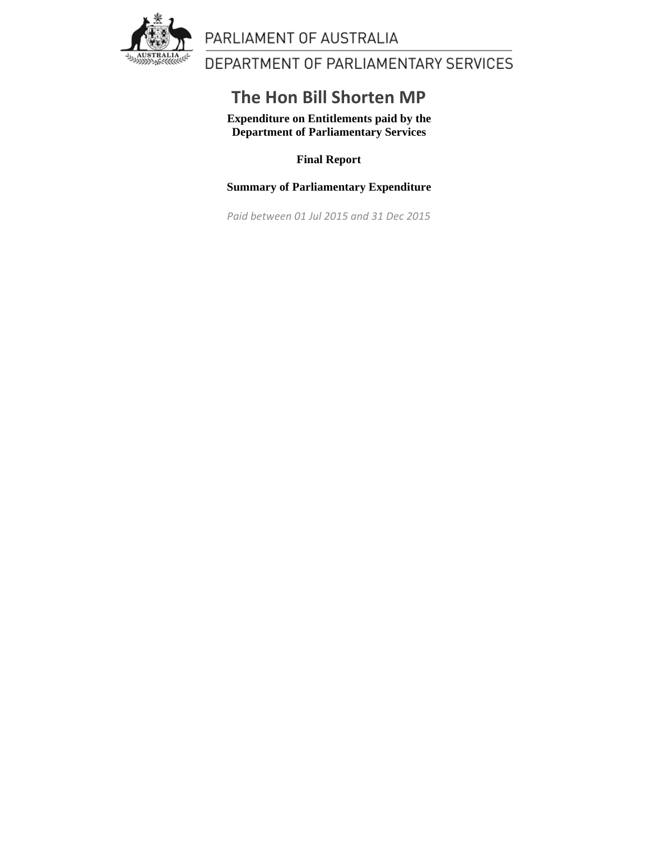

## PARLIAMENT OF AUSTRALIA

DEPARTMENT OF PARLIAMENTARY SERVICES

## **The Hon Bill Shorten MP**

**Expenditure on Entitlements paid by the Department of Parliamentary Services**

**Final Report**

**Summary of Parliamentary Expenditure**

*Paid between 01 Jul 2015 and 31 Dec 2015*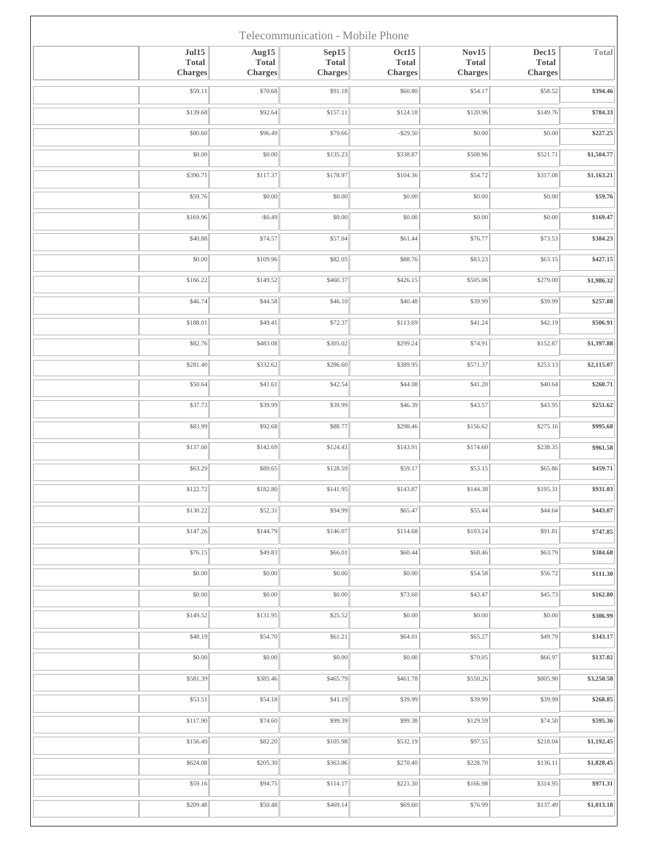| Telecommunication - Mobile Phone               |                                  |                                         |                                         |                                         |                                         |            |  |  |  |  |
|------------------------------------------------|----------------------------------|-----------------------------------------|-----------------------------------------|-----------------------------------------|-----------------------------------------|------------|--|--|--|--|
| $\rm{Jul15}$<br><b>Total</b><br><b>Charges</b> | Aug15<br><b>Total</b><br>Charges | Sep15<br><b>Total</b><br><b>Charges</b> | Oct15<br><b>Total</b><br><b>Charges</b> | Nov15<br><b>Total</b><br><b>Charges</b> | Dec15<br><b>Total</b><br><b>Charges</b> | Total      |  |  |  |  |
| \$59.11                                        | \$70.68                          | \$91.18                                 | \$60.80                                 | \$54.17                                 | \$58.52                                 | \$394.46   |  |  |  |  |
| \$139.68                                       | \$92.64                          | \$157.11                                | \$124.18                                | \$120.96                                | \$149.76                                | \$784.33   |  |  |  |  |
| \$80.60                                        | \$96.49                          | \$79.66                                 | $-$ \$29.50                             | \$0.00                                  | \$0.00                                  | \$227.25   |  |  |  |  |
| \$0.00                                         | \$0.00                           | \$135.23                                | \$338.87                                | \$508.96                                | \$521.71                                | \$1,504.77 |  |  |  |  |
| \$390.71                                       | \$117.37                         | \$178.97                                | \$104.36                                | \$54.72                                 | \$317.08                                | \$1,163.21 |  |  |  |  |
| \$59.76                                        | \$0.00                           | \$0.00                                  | \$0.00                                  | \$0.00                                  | \$0.00                                  | \$59.76    |  |  |  |  |
| \$169.96                                       | $-$0.49$                         | \$0.00                                  | \$0.00                                  | \$0.00                                  | \$0.00                                  | \$169.47   |  |  |  |  |
| \$40.88                                        | \$74.57                          | \$57.04                                 | \$61.44                                 | \$76.77                                 | \$73.53                                 | \$384.23   |  |  |  |  |
| \$0.00                                         | \$109.96                         | \$82.05                                 | \$88.76                                 | \$83.23                                 | \$63.15                                 | \$427.15   |  |  |  |  |
| \$166.22                                       | \$149.52                         | \$460.37                                | \$426.15                                | \$505.06                                | \$279.00                                | \$1,986.32 |  |  |  |  |
| \$46.74                                        | \$44.58                          | \$46.10                                 | \$40.48                                 | \$39.99                                 | \$39.99                                 | \$257.88   |  |  |  |  |
| \$188.01                                       | \$49.41                          | \$72.37                                 | \$113.69                                | \$41.24                                 | \$42.19                                 | \$506.91   |  |  |  |  |
| \$82.76                                        | \$483.08                         | \$305.02                                | \$299.24                                | \$74.91                                 | \$152.87                                | \$1,397.88 |  |  |  |  |
| \$281.40                                       | \$332.62                         | \$286.60                                | \$389.95                                | \$571.37                                | \$253.13                                | \$2,115.07 |  |  |  |  |
| \$50.64                                        | \$41.61                          | \$42.54                                 | \$44.08                                 | \$41.20                                 | \$40.64                                 | \$260.71   |  |  |  |  |
| \$37.73                                        | \$39.99                          | \$39.99                                 | \$46.39                                 | \$43.57                                 | \$43.95                                 | \$251.62   |  |  |  |  |
| \$83.99                                        | \$92.68                          | \$88.77                                 | \$298.46                                | \$156.62                                | \$275.16                                | \$995.68   |  |  |  |  |
| \$137.60                                       | \$142.69                         | \$124.43                                | \$143.91                                | \$174.60                                | \$238.35                                | \$961.58   |  |  |  |  |
| \$63.29                                        | \$89.65                          | \$128.59                                | \$59.17                                 | \$53.15                                 | \$65.86                                 | \$459.71   |  |  |  |  |
| \$122.72                                       | \$182.80                         | \$141.95                                | \$143.87                                | \$144.38                                | \$195.31                                | \$931.03   |  |  |  |  |
| \$130.22                                       | \$52.31                          | \$94.99                                 | \$65.47                                 | \$55.44                                 | \$44.64                                 | \$443.07   |  |  |  |  |
| \$147.26                                       | \$144.79                         | \$146.07                                | \$114.68                                | \$103.24                                | \$91.81                                 | \$747.85   |  |  |  |  |
| \$76.15                                        | \$49.83                          | \$66.01                                 | \$60.44                                 | \$68.46                                 | \$63.79                                 | \$384.68   |  |  |  |  |
| \$0.00                                         | \$0.00                           | \$0.00                                  | \$0.00                                  | \$54.58                                 | \$56.72                                 | \$111.30   |  |  |  |  |
| \$0.00                                         | \$0.00                           | \$0.00                                  | \$73.60                                 | \$43.47                                 | \$45.73                                 | \$162.80   |  |  |  |  |
| \$149.52                                       | \$131.95                         | \$25.52                                 | \$0.00                                  | \$0.00                                  | \$0.00                                  | \$306.99   |  |  |  |  |
| \$48.19                                        | \$54.70                          | \$61.21                                 | \$64.01                                 | \$65.27                                 | \$49.79                                 | \$343.17   |  |  |  |  |
| \$0.00                                         | \$0.00                           | \$0.00                                  | \$0.00                                  | \$70.05                                 | \$66.97                                 | \$137.02   |  |  |  |  |
| \$581.39                                       | \$385.46                         | \$465.79                                | \$461.78                                | \$550.26                                | \$805.90                                | \$3,250.58 |  |  |  |  |
| \$53.51                                        | \$54.18                          | \$41.19                                 | \$39.99                                 | \$39.99                                 | \$39.99                                 | \$268.85   |  |  |  |  |
| \$117.90                                       | \$74.60                          | \$99.39                                 | \$99.38                                 | \$129.59                                | \$74.50                                 | \$595.36   |  |  |  |  |
| \$156.49                                       | \$82.20                          | \$105.98                                | \$532.19                                | \$97.55                                 | \$218.04                                | \$1,192.45 |  |  |  |  |
| \$624.08                                       | \$205.30                         | \$363.86                                | \$270.40                                | \$228.70                                | \$136.11                                | \$1,828.45 |  |  |  |  |
| \$59.16                                        | \$94.75                          | \$114.17                                | \$221.30                                | \$166.98                                | \$314.95                                | \$971.31   |  |  |  |  |
| \$209.48                                       | \$50.48                          | \$469.14                                | \$69.60                                 | \$76.99                                 | \$137.49                                | \$1,013.18 |  |  |  |  |